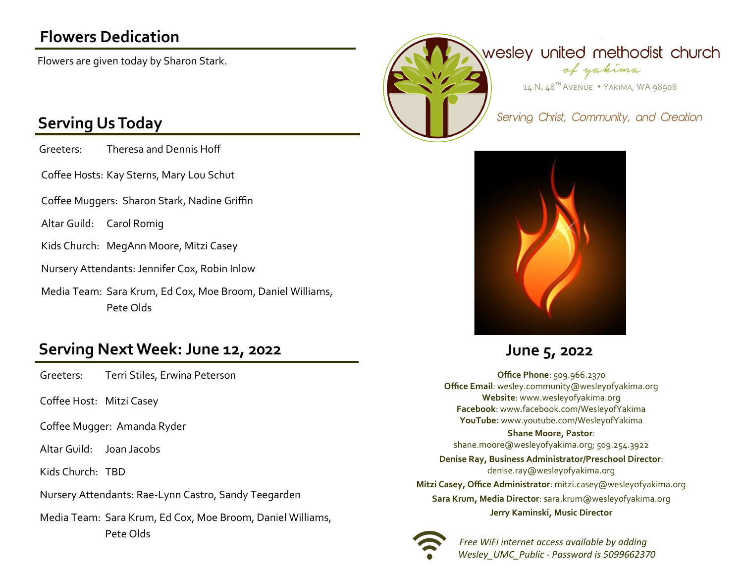# **Flowers Dedication**

Flowers are given today by Sharon Stark.

## **Serving Us Today**

Greeters: Theresa and Dennis Hoff

Coffee Hosts: Kay Sterns, Mary Lou Schut

Coffee Muggers: Sharon Stark, Nadine Griffin

Altar Guild: Carol Romig

Kids Church: MegAnn Moore, Mitzi Casey

Nursery Attendants: Jennifer Cox, Robin Inlow

Media Team: Sara Krum, Ed Cox, Moe Broom, Daniel Williams, Pete Olds

### **Serving Next Week: June 12, 2022 June 5, 2022**

Greeters: Terri Stiles, Erwina Peterson

Coffee Host: Mitzi Casey

Coffee Mugger: Amanda Ryder

Altar Guild: Joan Jacobs

Kids Church: TBD

Nursery Attendants: Rae-Lynn Castro, Sandy Teegarden

Media Team: Sara Krum, Ed Cox, Moe Broom, Daniel Williams, Pete Olds





**Office Phone**: 509.966.2370 **Office Email**: wesley.community@wesleyofyakima.org **Website**: www.wesleyofyakima.org **Facebook**: www.facebook.com/WesleyofYakima **YouTube:** www.youtube.com/WesleyofYakima

#### **Shane Moore, Pastor**:

shane.moore@wesleyofyakima.org; 509.254.3922 **Denise Ray, Business Administrator/Preschool Director**: denise.ray@wesleyofyakima.org **Mitzi Casey, Office Administrator**: mitzi.casey@wesleyofyakima.org **Sara Krum, Media Director**: sara.krum@wesleyofyakima.org **Jerry Kaminski, Music Director**



 *Free WiFi internet access available by adding Wesley\_UMC\_Public - Password is 5099662370*